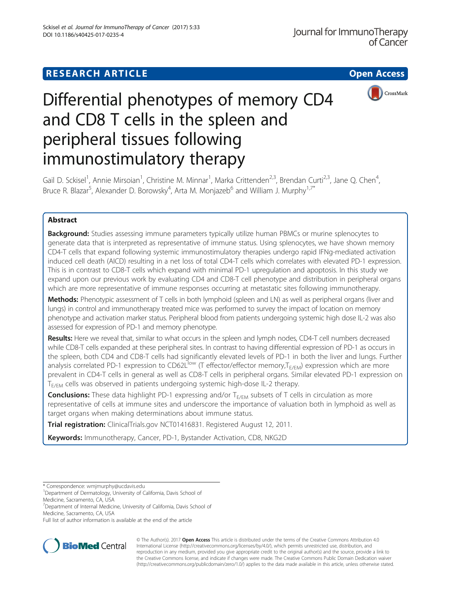# **RESEARCH ARTICLE Example 2014 12:30 The Contract of Contract Contract Contract Contract Contract Contract Contract Contract Contract Contract Contract Contract Contract Contract Contract Contract Contract Contract Contr**



# Differential phenotypes of memory CD4 and CD8 T cells in the spleen and peripheral tissues following immunostimulatory therapy

Gail D. Sckisel<sup>1</sup>, Annie Mirsoian<sup>1</sup>, Christine M. Minnar<sup>1</sup>, Marka Crittenden<sup>2,3</sup>, Brendan Curti<sup>2,3</sup>, Jane Q. Chen<sup>4</sup> , Bruce R. Blazar<sup>5</sup>, Alexander D. Borowsky<sup>4</sup>, Arta M. Monjazeb<sup>6</sup> and William J. Murphy<sup>1,7\*</sup>

# Abstract

**Background:** Studies assessing immune parameters typically utilize human PBMCs or murine splenocytes to generate data that is interpreted as representative of immune status. Using splenocytes, we have shown memory CD4-T cells that expand following systemic immunostimulatory therapies undergo rapid IFNg-mediated activation induced cell death (AICD) resulting in a net loss of total CD4-T cells which correlates with elevated PD-1 expression. This is in contrast to CD8-T cells which expand with minimal PD-1 upregulation and apoptosis. In this study we expand upon our previous work by evaluating CD4 and CD8-T cell phenotype and distribution in peripheral organs which are more representative of immune responses occurring at metastatic sites following immunotherapy.

Methods: Phenotypic assessment of T cells in both lymphoid (spleen and LN) as well as peripheral organs (liver and lungs) in control and immunotherapy treated mice was performed to survey the impact of location on memory phenotype and activation marker status. Peripheral blood from patients undergoing systemic high dose IL-2 was also assessed for expression of PD-1 and memory phenotype.

Results: Here we reveal that, similar to what occurs in the spleen and lymph nodes, CD4-T cell numbers decreased while CD8-T cells expanded at these peripheral sites. In contrast to having differential expression of PD-1 as occurs in the spleen, both CD4 and CD8-T cells had significantly elevated levels of PD-1 in both the liver and lungs. Further analysis correlated PD-1 expression to CD62L<sup>low</sup> (T effector/effector memory, T<sub>E/EM</sub>) expression which are more prevalent in CD4-T cells in general as well as CD8-T cells in peripheral organs. Similar elevated PD-1 expression on T<sub>E/EM</sub> cells was observed in patients undergoing systemic high-dose IL-2 therapy.

**Conclusions:** These data highlight PD-1 expressing and/or  $T_{E/EM}$  subsets of T cells in circulation as more representative of cells at immune sites and underscore the importance of valuation both in lymphoid as well as target organs when making determinations about immune status.

Trial registration: ClinicalTrials.gov [NCT01416831.](https://clinicaltrials.gov/ct2/show/NCT01416831) Registered August 12, 2011.

Keywords: Immunotherapy, Cancer, PD-1, Bystander Activation, CD8, NKG2D

Full list of author information is available at the end of the article



© The Author(s). 2017 **Open Access** This article is distributed under the terms of the Creative Commons Attribution 4.0 International License [\(http://creativecommons.org/licenses/by/4.0/](http://creativecommons.org/licenses/by/4.0/)), which permits unrestricted use, distribution, and reproduction in any medium, provided you give appropriate credit to the original author(s) and the source, provide a link to the Creative Commons license, and indicate if changes were made. The Creative Commons Public Domain Dedication waiver [\(http://creativecommons.org/publicdomain/zero/1.0/](http://creativecommons.org/publicdomain/zero/1.0/)) applies to the data made available in this article, unless otherwise stated.

<sup>\*</sup> Correspondence: [wmjmurphy@ucdavis.edu](mailto:wmjmurphy@ucdavis.edu) <sup>1</sup>

<sup>&</sup>lt;sup>1</sup>Department of Dermatology, University of California, Davis School of

Medicine, Sacramento, CA, USA

<sup>&</sup>lt;sup>7</sup>Department of Internal Medicine, University of California, Davis School of Medicine, Sacramento, CA, USA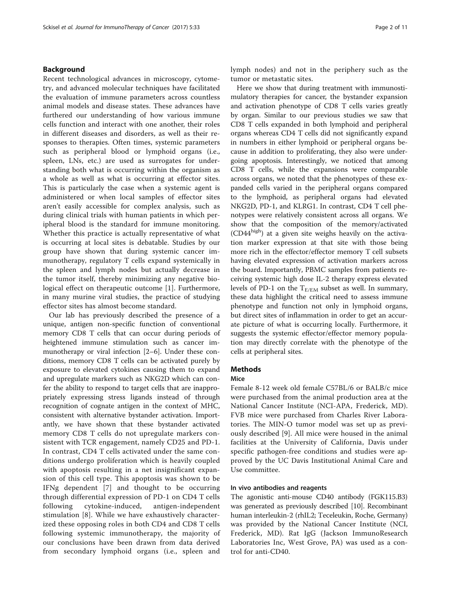# Background

Recent technological advances in microscopy, cytometry, and advanced molecular techniques have facilitated the evaluation of immune parameters across countless animal models and disease states. These advances have furthered our understanding of how various immune cells function and interact with one another, their roles in different diseases and disorders, as well as their responses to therapies. Often times, systemic parameters such as peripheral blood or lymphoid organs (i.e., spleen, LNs, etc.) are used as surrogates for understanding both what is occurring within the organism as a whole as well as what is occurring at effector sites. This is particularly the case when a systemic agent is administered or when local samples of effector sites aren't easily accessible for complex analysis, such as during clinical trials with human patients in which peripheral blood is the standard for immune monitoring. Whether this practice is actually representative of what is occurring at local sites is debatable. Studies by our group have shown that during systemic cancer immunotherapy, regulatory T cells expand systemically in the spleen and lymph nodes but actually decrease in the tumor itself, thereby minimizing any negative biological effect on therapeutic outcome [\[1](#page-10-0)]. Furthermore, in many murine viral studies, the practice of studying effector sites has almost become standard.

Our lab has previously described the presence of a unique, antigen non-specific function of conventional memory CD8 T cells that can occur during periods of heightened immune stimulation such as cancer immunotherapy or viral infection [[2](#page-10-0)–[6](#page-10-0)]. Under these conditions, memory CD8 T cells can be activated purely by exposure to elevated cytokines causing them to expand and upregulate markers such as NKG2D which can confer the ability to respond to target cells that are inappropriately expressing stress ligands instead of through recognition of cognate antigen in the context of MHC, consistent with alternative bystander activation. Importantly, we have shown that these bystander activated memory CD8 T cells do not upregulate markers consistent with TCR engagement, namely CD25 and PD-1. In contrast, CD4 T cells activated under the same conditions undergo proliferation which is heavily coupled with apoptosis resulting in a net insignificant expansion of this cell type. This apoptosis was shown to be IFNg dependent [[7\]](#page-10-0) and thought to be occurring through differential expression of PD-1 on CD4 T cells following cytokine-induced, antigen-independent stimulation [[8\]](#page-10-0). While we have exhaustively characterized these opposing roles in both CD4 and CD8 T cells following systemic immunotherapy, the majority of our conclusions have been drawn from data derived from secondary lymphoid organs (i.e., spleen and lymph nodes) and not in the periphery such as the tumor or metastatic sites.

Here we show that during treatment with immunostimulatory therapies for cancer, the bystander expansion and activation phenotype of CD8 T cells varies greatly by organ. Similar to our previous studies we saw that CD8 T cells expanded in both lymphoid and peripheral organs whereas CD4 T cells did not significantly expand in numbers in either lymphoid or peripheral organs because in addition to proliferating, they also were undergoing apoptosis. Interestingly, we noticed that among CD8 T cells, while the expansions were comparable across organs, we noted that the phenotypes of these expanded cells varied in the peripheral organs compared to the lymphoid, as peripheral organs had elevated NKG2D, PD-1, and KLRG1. In contrast, CD4 T cell phenotypes were relatively consistent across all organs. We show that the composition of the memory/activated  $(CD44<sup>high</sup>)$  at a given site weighs heavily on the activation marker expression at that site with those being more rich in the effector/effector memory T cell subsets having elevated expression of activation markers across the board. Importantly, PBMC samples from patients receiving systemic high dose IL-2 therapy express elevated levels of PD-1 on the  $T_{E/EM}$  subset as well. In summary, these data highlight the critical need to assess immune phenotype and function not only in lymphoid organs, but direct sites of inflammation in order to get an accurate picture of what is occurring locally. Furthermore, it suggests the systemic effector/effector memory population may directly correlate with the phenotype of the cells at peripheral sites.

# **Methods**

#### **Mice**

Female 8-12 week old female C57BL/6 or BALB/c mice were purchased from the animal production area at the National Cancer Institute (NCI-APA, Frederick, MD). FVB mice were purchased from Charles River Laboratories. The MIN-O tumor model was set up as previously described [\[9](#page-10-0)]. All mice were housed in the animal facilities at the University of California, Davis under specific pathogen-free conditions and studies were approved by the UC Davis Institutional Animal Care and Use committee.

#### In vivo antibodies and reagents

The agonistic anti-mouse CD40 antibody (FGK115.B3) was generated as previously described [[10](#page-10-0)]. Recombinant human interleukin-2 (rhIL2; Teceleukin, Roche, Germany) was provided by the National Cancer Institute (NCI, Frederick, MD). Rat IgG (Jackson ImmunoResearch Laboratories Inc, West Grove, PA) was used as a control for anti-CD40.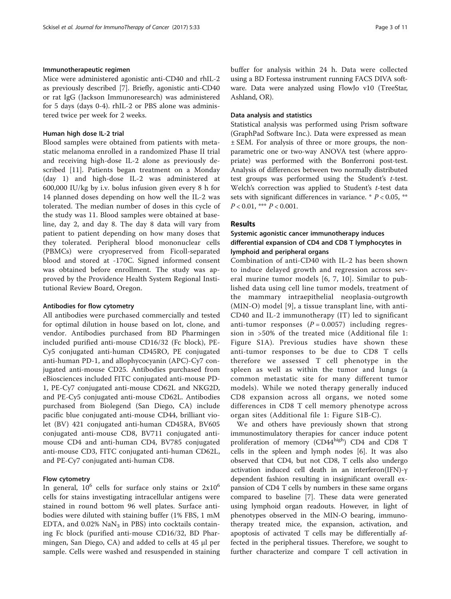#### Immunotherapeutic regimen

Mice were administered agonistic anti-CD40 and rhIL-2 as previously described [[7\]](#page-10-0). Briefly, agonistic anti-CD40 or rat IgG (Jackson Immunoresearch) was administered for 5 days (days 0-4). rhIL-2 or PBS alone was administered twice per week for 2 weeks.

#### Human high dose IL-2 trial

Blood samples were obtained from patients with metastatic melanoma enrolled in a randomized Phase II trial and receiving high-dose IL-2 alone as previously described [\[11](#page-10-0)]. Patients began treatment on a Monday (day 1) and high-dose IL-2 was administered at 600,000 IU/kg by i.v. bolus infusion given every 8 h for 14 planned doses depending on how well the IL-2 was tolerated. The median number of doses in this cycle of the study was 11. Blood samples were obtained at baseline, day 2, and day 8. The day 8 data will vary from patient to patient depending on how many doses that they tolerated. Peripheral blood mononuclear cells (PBMCs) were cryopreserved from Ficoll-separated blood and stored at -170C. Signed informed consent was obtained before enrollment. The study was approved by the Providence Health System Regional Institutional Review Board, Oregon.

#### Antibodies for flow cytometry

All antibodies were purchased commercially and tested for optimal dilution in house based on lot, clone, and vendor. Antibodies purchased from BD Pharmingen included purified anti-mouse CD16/32 (Fc block), PE-Cy5 conjugated anti-human CD45RO, PE conjugated anti-human PD-1, and allophycocyanin (APC)-Cy7 conjugated anti-mouse CD25. Antibodies purchased from eBiosciences included FITC conjugated anti-mouse PD-1, PE-Cy7 conjugated anti-mouse CD62L and NKG2D, and PE-Cy5 conjugated anti-mouse CD62L. Antibodies purchased from Biolegend (San Diego, CA) include pacific blue conjugated anti-mouse CD44, brilliant violet (BV) 421 conjugated anti-human CD45RA, BV605 conjugated anti-mouse CD8, BV711 conjugated antimouse CD4 and anti-human CD4, BV785 conjugated anti-mouse CD3, FITC conjugated anti-human CD62L, and PE-Cy7 conjugated anti-human CD8.

#### Flow cytometry

In general,  $10^6$  cells for surface only stains or  $2x10^6$ cells for stains investigating intracellular antigens were stained in round bottom 96 well plates. Surface antibodies were diluted with staining buffer (1% FBS, 1 mM EDTA, and  $0.02\%$  NaN<sub>3</sub> in PBS) into cocktails containing Fc block (purified anti-mouse CD16/32, BD Pharmingen, San Diego, CA) and added to cells at 45 μl per sample. Cells were washed and resuspended in staining buffer for analysis within 24 h. Data were collected using a BD Fortessa instrument running FACS DIVA software. Data were analyzed using FlowJo v10 (TreeStar, Ashland, OR).

#### Data analysis and statistics

Statistical analysis was performed using Prism software (GraphPad Software Inc.). Data were expressed as mean ± SEM. For analysis of three or more groups, the nonparametric one or two-way ANOVA test (where appropriate) was performed with the Bonferroni post-test. Analysis of differences between two normally distributed test groups was performed using the Student's  $t$ -test. Welch's correction was applied to Student's t-test data sets with significant differences in variance.  $* P < 0.05$ , \*\*  $P < 0.01$ , \*\*\*  $P < 0.001$ .

# Results

# Systemic agonistic cancer immunotherapy induces differential expansion of CD4 and CD8 T lymphocytes in lymphoid and peripheral organs

Combination of anti-CD40 with IL-2 has been shown to induce delayed growth and regression across several murine tumor models [\[6](#page-10-0), [7, 10\]](#page-10-0). Similar to published data using cell line tumor models, treatment of the mammary intraepithelial neoplasia-outgrowth (MIN-O) model [[9\]](#page-10-0), a tissue transplant line, with anti-CD40 and IL-2 immunotherapy (IT) led to significant anti-tumor responses  $(P = 0.0057)$  including regression in >50% of the treated mice (Additional file [1](#page-9-0): Figure S1A). Previous studies have shown these anti-tumor responses to be due to CD8 T cells therefore we assessed T cell phenotype in the spleen as well as within the tumor and lungs (a common metastatic site for many different tumor models). While we noted therapy generally induced CD8 expansion across all organs, we noted some differences in CD8 T cell memory phenotype across organ sites (Additional file [1:](#page-9-0) Figure S1B-C).

We and others have previously shown that strong immunostimulatory therapies for cancer induce potent proliferation of memory (CD44high) CD4 and CD8 T cells in the spleen and lymph nodes [[6\]](#page-10-0). It was also observed that CD4, but not CD8, T cells also undergo activation induced cell death in an interferon(IFN)-γ dependent fashion resulting in insignificant overall expansion of CD4 T cells by numbers in these same organs compared to baseline [[7\]](#page-10-0). These data were generated using lymphoid organ readouts. However, in light of phenotypes observed in the MIN-O bearing, immunotherapy treated mice, the expansion, activation, and apoptosis of activated T cells may be differentially affected in the peripheral tissues. Therefore, we sought to further characterize and compare T cell activation in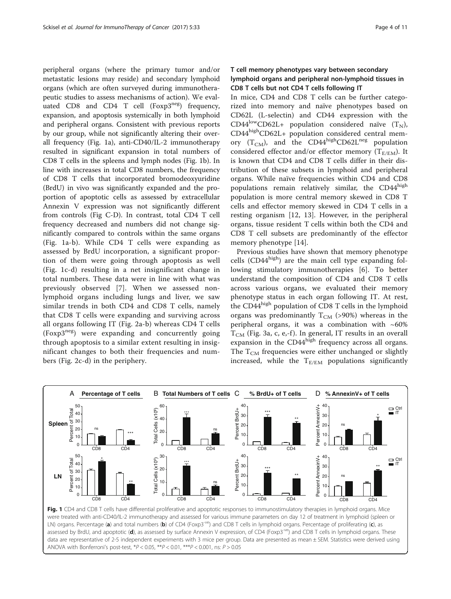peripheral organs (where the primary tumor and/or metastatic lesions may reside) and secondary lymphoid organs (which are often surveyed during immunotherapeutic studies to assess mechanisms of action). We evaluated CD8 and CD4 T cell  $(Foxp3^{neg})$  frequency, expansion, and apoptosis systemically in both lymphoid and peripheral organs. Consistent with previous reports by our group, while not significantly altering their overall frequency (Fig. 1a), anti-CD40/IL-2 immunotherapy resulted in significant expansion in total numbers of CD8 T cells in the spleens and lymph nodes (Fig. 1b). In line with increases in total CD8 numbers, the frequency of CD8 T cells that incorporated bromodeoxyuridine (BrdU) in vivo was significantly expanded and the proportion of apoptotic cells as assessed by extracellular Annexin V expression was not significantly different from controls (Fig C-D). In contrast, total CD4 T cell frequency decreased and numbers did not change significantly compared to controls within the same organs (Fig. 1a-b). While CD4 T cells were expanding as assessed by BrdU incorporation, a significant proportion of them were going through apoptosis as well (Fig. 1c-d) resulting in a net insignificant change in total numbers. These data were in line with what was previously observed [[7\]](#page-10-0). When we assessed nonlymphoid organs including lungs and liver, we saw similar trends in both CD4 and CD8 T cells, namely that CD8 T cells were expanding and surviving across all organs following IT (Fig. [2a-b](#page-4-0)) whereas CD4 T cells (Foxp3neg) were expanding and concurrently going through apoptosis to a similar extent resulting in insignificant changes to both their frequencies and numbers (Fig. [2c-d](#page-4-0)) in the periphery.

# T cell memory phenotypes vary between secondary lymphoid organs and peripheral non-lymphoid tissues in CD8 T cells but not CD4 T cells following IT

In mice, CD4 and CD8 T cells can be further categorized into memory and naïve phenotypes based on CD62L (L-selectin) and CD44 expression with the CD44<sup>low</sup>CD62L+ population considered naïve  $(T_N)$ , CD44highCD62L+ population considered central memory  $(T_{CM})$ , and the CD44<sup>high</sup>CD62L<sup>neg</sup> population considered effector and/or effector memory  $(T_{E/EM})$ . It is known that CD4 and CD8 T cells differ in their distribution of these subsets in lymphoid and peripheral organs. While naïve frequencies within CD4 and CD8 populations remain relatively similar, the CD44<sup>high</sup> population is more central memory skewed in CD8 T cells and effector memory skewed in CD4 T cells in a resting organism [\[12, 13\]](#page-10-0). However, in the peripheral organs, tissue resident T cells within both the CD4 and CD8 T cell subsets are predominantly of the effector memory phenotype [[14\]](#page-10-0).

Previous studies have shown that memory phenotype cells  $(CD44^{high})$  are the main cell type expanding following stimulatory immunotherapies [[6\]](#page-10-0). To better understand the composition of CD4 and CD8 T cells across various organs, we evaluated their memory phenotype status in each organ following IT. At rest, the CD44<sup>high</sup> population of CD8 T cells in the lymphoid organs was predominantly  $T_{CM}$  (>90%) whereas in the peripheral organs, it was a combination with  $~60\%$  $T_{CM}$  (Fig. [3a, c, e,-f](#page-5-0)). In general, IT results in an overall expansion in the CD44high frequency across all organs. The  $T_{CM}$  frequencies were either unchanged or slightly increased, while the  $T_{E/EM}$  populations significantly



were treated with anti-CD40/IL-2 immunotherapy and assessed for various immune parameters on day 12 of treatment in lymphoid (spleen or LN) organs. Percentage (a) and total numbers (b) of CD4 (Foxp3<sup>-ve</sup>) and CD8 T cells in lymphoid organs. Percentage of proliferating (c), as assessed by BrdU, and apoptotic (d), as assessed by surface Annexin V expression, of CD4 (Foxp3<sup>-ve</sup>) and CD8 T cells in lymphoid organs. These data are representative of 2-5 independent experiments with 3 mice per group. Data are presented as mean ± SEM. Statistics were derived using ANOVA with Bonferroni's post-test,  $*P < 0.05$ ,  $*P < 0.01$ ,  $*P < 0.001$ , ns:  $P > 0.05$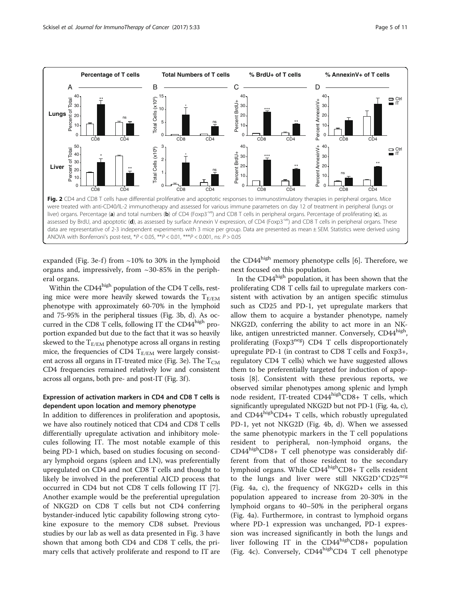<span id="page-4-0"></span>

expanded (Fig. [3e-f](#page-5-0)) from  $\sim$ 10% to 30% in the lymphoid organs and, impressively, from ~30-85% in the peripheral organs.

Within the CD44<sup>high</sup> population of the CD4 T cells, resting mice were more heavily skewed towards the  $T_{E/EM}$ phenotype with approximately 60-70% in the lymphoid and 75-95% in the peripheral tissues (Fig. [3b, d](#page-5-0)). As occurred in the CD8 T cells, following IT the  $CD44<sup>high</sup>$  proportion expanded but due to the fact that it was so heavily skewed to the  $T_{E/EM}$  phenotype across all organs in resting mice, the frequencies of CD4  $T_{E/EM}$  were largely consist-ent across all organs in IT-treated mice (Fig. [3e](#page-5-0)). The  $T_{CM}$ CD4 frequencies remained relatively low and consistent across all organs, both pre- and post-IT (Fig. [3f](#page-5-0) ).

# Expression of activation markers in CD4 and CD8 T cells is dependent upon location and memory phenotype

In addition to differences in proliferation and apoptosis, we have also routinely noticed that CD4 and CD8 T cells differentially upregulate activation and inhibitory molecules following IT. The most notable example of this being PD-1 which, based on studies focusing on secondary lymphoid organs (spleen and LN), was preferentially upregulated on CD4 and not CD8 T cells and thought to likely be involved in the preferential AICD process that occurred in CD4 but not CD8 T cells following IT [\[7](#page-10-0)]. Another example would be the preferential upregulation of NKG2D on CD8 T cells but not CD4 conferring bystander-induced lytic capability following strong cytokine exposure to the memory CD8 subset. Previous studies by our lab as well as data presented in Fig. [3](#page-5-0) have shown that among both CD4 and CD8 T cells, the primary cells that actively proliferate and respond to IT are the CD44<sup>high</sup> memory phenotype cells [\[6](#page-10-0)]. Therefore, we next focused on this population.

In the  $CD44<sup>high</sup>$  population, it has been shown that the proliferating CD8 T cells fail to upregulate markers consistent with activation by an antigen specific stimulus such as CD25 and PD-1, yet upregulate markers that allow them to acquire a bystander phenotype, namely NKG2D, conferring the ability to act more in an NKlike, antigen unrestricted manner. Conversely, CD44<sup>high</sup>, proliferating (Foxp3neg) CD4 T cells disproportionately upregulate PD-1 (in contrast to CD8 T cells and Foxp3+, regulatory CD4 T cells) which we have suggested allows them to be preferentially targeted for induction of apoptosis [\[8](#page-10-0)]. Consistent with these previous reports, we observed similar phenotypes among splenic and lymph node resident, IT-treated CD44highCD8+ T cells, which significantly upregulated NKG2D but not PD-1 (Fig. [4a, c\)](#page-6-0), and  $CD44<sup>high</sup>CD4+T$  cells, which robustly upregulated PD-1, yet not NKG2D (Fig. [4b, d](#page-6-0)). When we assessed the same phenotypic markers in the T cell populations resident to peripheral, non-lymphoid organs, the  $CD44<sup>high</sup>CD8+T$  cell phenotype was considerably different from that of those resident to the secondary lymphoid organs. While CD44highCD8+ T cells resident to the lungs and liver were still NKG2D<sup>+</sup>CD25<sup>neg</sup> (Fig. [4a, c\)](#page-6-0), the frequency of NKG2D+ cells in this population appeared to increase from 20-30% in the lymphoid organs to 40–50% in the peripheral organs (Fig. [4a](#page-6-0)). Furthermore, in contrast to lymphoid organs where PD-1 expression was unchanged, PD-1 expression was increased significantly in both the lungs and liver following IT in the  $CD44<sup>high</sup>CD8+$  population (Fig. [4c\)](#page-6-0). Conversely,  $CD44<sup>high</sup>CD4 T$  cell phenotype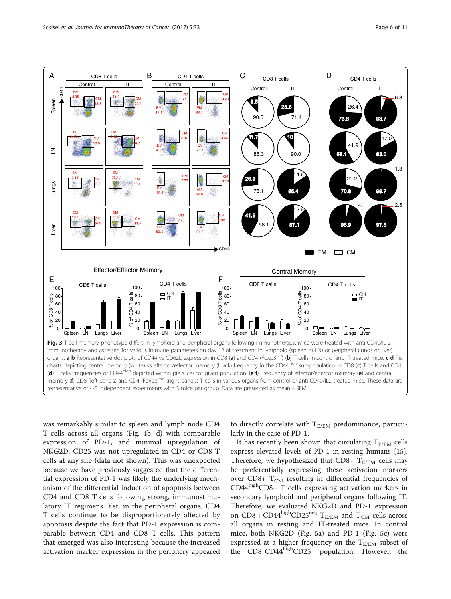<span id="page-5-0"></span>

was remarkably similar to spleen and lymph node CD4 T cells across all organs (Fig. [4b, d\)](#page-6-0) with comparable expression of PD-1, and minimal upregulation of NKG2D. CD25 was not upregulated in CD4 or CD8 T cells at any site (data not shown). This was unexpected because we have previously suggested that the differential expression of PD-1 was likely the underlying mechanism of the differential induction of apoptosis between CD4 and CD8 T cells following strong, immunostimulatory IT regimens. Yet, in the peripheral organs, CD4 T cells continue to be disproportionately affected by apoptosis despite the fact that PD-1 expression is comparable between CD4 and CD8 T cells. This pattern that emerged was also interesting because the increased activation marker expression in the periphery appeared

to directly correlate with  $T_{E/EM}$  predominance, particularly in the case of PD-1.

It has recently been shown that circulating  $T_{E/EM}$  cells express elevated levels of PD-1 in resting humans [\[15](#page-10-0)]. Therefore, we hypothesized that CD8+  $T_{E/EM}$  cells may be preferentially expressing these activation markers over CD8+  $T_{CM}$  resulting in differential frequencies of  $CD44<sup>high</sup>CD8+T$  cells expressing activation markers in secondary lymphoid and peripheral organs following IT. Therefore, we evaluated NKG2D and PD-1 expression on CD8 + CD44<sup>high</sup>CD25<sup>neg</sup> T<sub>E/EM</sub> and T<sub>CM</sub> cells across all organs in resting and IT-treated mice. In control mice, both NKG2D (Fig. [5a](#page-6-0)) and PD-1 (Fig. [5c](#page-6-0)) were expressed at a higher frequency on the  $T_{E/EM}$  subset of the CD8<sup>+</sup>CD44<sup>high</sup>CD25<sup>-</sup> population. However, the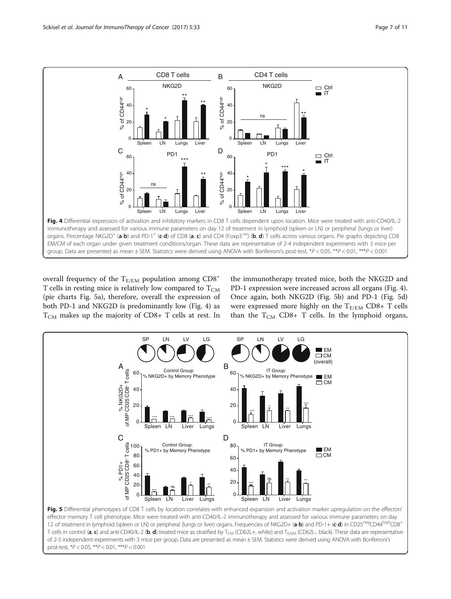<span id="page-6-0"></span>

overall frequency of the  $T_{E/EM}$  population among  $CD8^+$ T cells in resting mice is relatively low compared to  $T_{CM}$ (pie charts Fig. 5a), therefore, overall the expression of both PD-1 and NKG2D is predominantly low (Fig. 4) as  $T_{CM}$  makes up the majority of CD8+ T cells at rest. In the immunotherapy treated mice, both the NKG2D and PD-1 expression were increased across all organs (Fig. 4). Once again, both NKG2D (Fig. 5b) and PD-1 (Fig. 5d) were expressed more highly on the  $T_{E/EM}$  CD8+ T cells than the  $T_{CM}$  CD8+ T cells. In the lymphoid organs,



effector memory T cell phenotype. Mice were treated with anti-CD40/IL-2 immunotherapy and assessed for various immune parameters on day 12 of treatment in lymphoid (spleen or LN) or peripheral (lungs or liver) organs. Frequencies of NKG2D+ (a-b) and PD-1+ (c-d) in CD25<sup>neg</sup>CD44<sup>high</sup>CD8<sup>+</sup> T cells in control (a, c) and anti-CD40/IL-2 (b, d) treated mice as stratified by  $T_{CM}$  (CD62L+, white) and  $T_{E/EM}$  (CD62L-, black). These data are representative of 2-3 independent experiments with 3 mice per group. Data are presented as mean ± SEM. Statistics were derived using ANOVA with Bonferroni's post-test, \*P < 0.05, \*\*P < 0.01, \*\*\*P < 0.001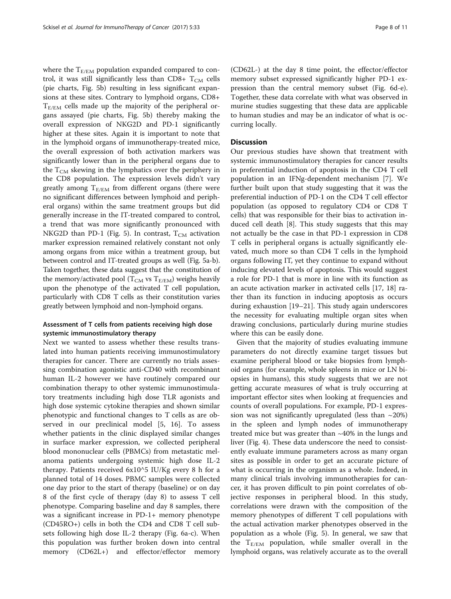where the  $T_{E/EM}$  population expanded compared to control, it was still significantly less than CD8+  $T_{CM}$  cells (pie charts, Fig. [5b](#page-6-0)) resulting in less significant expansions at these sites. Contrary to lymphoid organs, CD8+  $T_{E/EM}$  cells made up the majority of the peripheral organs assayed (pie charts, Fig. [5b](#page-6-0)) thereby making the overall expression of NKG2D and PD-1 significantly higher at these sites. Again it is important to note that in the lymphoid organs of immunotherapy-treated mice, the overall expression of both activation markers was significantly lower than in the peripheral organs due to the  $T_{CM}$  skewing in the lymphatics over the periphery in the CD8 population. The expression levels didn't vary greatly among  $T_{E/EM}$  from different organs (there were no significant differences between lymphoid and peripheral organs) within the same treatment groups but did generally increase in the IT-treated compared to control, a trend that was more significantly pronounced with NKG2D than PD-1 (Fig. [5\)](#page-6-0). In contrast,  $T_{CM}$  activation marker expression remained relatively constant not only among organs from mice within a treatment group, but between control and IT-treated groups as well (Fig. [5a-b](#page-6-0)). Taken together, these data suggest that the constitution of the memory/activated pool ( $T_{CM}$  vs  $T_{E/EM}$ ) weighs heavily upon the phenotype of the activated T cell population, particularly with CD8 T cells as their constitution varies greatly between lymphoid and non-lymphoid organs.

# Assessment of T cells from patients receiving high dose systemic immunostimulatory therapy

Next we wanted to assess whether these results translated into human patients receiving immunostimulatory therapies for cancer. There are currently no trials assessing combination agonistic anti-CD40 with recombinant human IL-2 however we have routinely compared our combination therapy to other systemic immunostimulatory treatments including high dose TLR agonists and high dose systemic cytokine therapies and shown similar phenotypic and functional changes to T cells as are observed in our preclinical model [\[5](#page-10-0), [16](#page-10-0)]. To assess whether patients in the clinic displayed similar changes in surface marker expression, we collected peripheral blood mononuclear cells (PBMCs) from metastatic melanoma patients undergoing systemic high dose IL-2 therapy. Patients received 6x10^5 IU/Kg every 8 h for a planned total of 14 doses. PBMC samples were collected one day prior to the start of therapy (baseline) or on day 8 of the first cycle of therapy (day 8) to assess T cell phenotype. Comparing baseline and day 8 samples, there was a significant increase in PD-1+ memory phenotype (CD45RO+) cells in both the CD4 and CD8 T cell subsets following high dose IL-2 therapy (Fig. [6a-c](#page-8-0)). When this population was further broken down into central memory (CD62L+) and effector/effector memory

(CD62L-) at the day 8 time point, the effector/effector memory subset expressed significantly higher PD-1 expression than the central memory subset (Fig. [6d-e](#page-8-0)). Together, these data correlate with what was observed in murine studies suggesting that these data are applicable to human studies and may be an indicator of what is occurring locally.

#### **Discussion**

Our previous studies have shown that treatment with systemic immunostimulatory therapies for cancer results in preferential induction of apoptosis in the CD4 T cell population in an IFNg-dependent mechanism [[7\]](#page-10-0). We further built upon that study suggesting that it was the preferential induction of PD-1 on the CD4 T cell effector population (as opposed to regulatory CD4 or CD8 T cells) that was responsible for their bias to activation induced cell death [\[8](#page-10-0)]. This study suggests that this may not actually be the case in that PD-1 expression in CD8 T cells in peripheral organs is actually significantly elevated, much more so than CD4 T cells in the lymphoid organs following IT, yet they continue to expand without inducing elevated levels of apoptosis. This would suggest a role for PD-1 that is more in line with its function as an acute activation marker in activated cells [[17, 18](#page-10-0)] rather than its function in inducing apoptosis as occurs during exhaustion [\[19](#page-10-0)–[21\]](#page-10-0). This study again underscores the necessity for evaluating multiple organ sites when drawing conclusions, particularly during murine studies where this can be easily done.

Given that the majority of studies evaluating immune parameters do not directly examine target tissues but examine peripheral blood or take biopsies from lymphoid organs (for example, whole spleens in mice or LN biopsies in humans), this study suggests that we are not getting accurate measures of what is truly occurring at important effector sites when looking at frequencies and counts of overall populations. For example, PD-1 expression was not significantly upregulated (less than  $\sim$ 20%) in the spleen and lymph nodes of immunotherapy treated mice but was greater than ~40% in the lungs and liver (Fig. [4](#page-6-0)). These data underscore the need to consistently evaluate immune parameters across as many organ sites as possible in order to get an accurate picture of what is occurring in the organism as a whole. Indeed, in many clinical trials involving immunotherapies for cancer, it has proven difficult to pin point correlates of objective responses in peripheral blood. In this study, correlations were drawn with the composition of the memory phenotypes of different T cell populations with the actual activation marker phenotypes observed in the population as a whole (Fig. [5](#page-6-0)). In general, we saw that the  $T_{E/EM}$  population, while smaller overall in the lymphoid organs, was relatively accurate as to the overall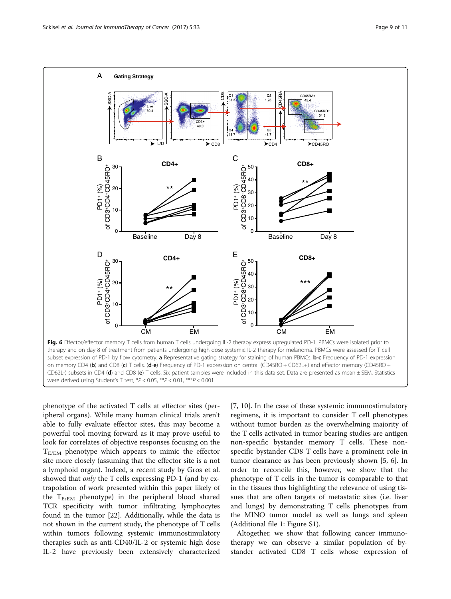<span id="page-8-0"></span>

phenotype of the activated T cells at effector sites (peripheral organs). While many human clinical trials aren't able to fully evaluate effector sites, this may become a powerful tool moving forward as it may prove useful to look for correlates of objective responses focusing on the  $T_{E/EM}$  phenotype which appears to mimic the effector site more closely (assuming that the effector site is a not a lymphoid organ). Indeed, a recent study by Gros et al. showed that *only* the T cells expressing PD-1 (and by extrapolation of work presented within this paper likely of the  $T_{E/EM}$  phenotype) in the peripheral blood shared TCR specificity with tumor infiltrating lymphocytes found in the tumor [[22](#page-10-0)]. Additionally, while the data is not shown in the current study, the phenotype of T cells within tumors following systemic immunostimulatory therapies such as anti-CD40/IL-2 or systemic high dose IL-2 have previously been extensively characterized

[[7, 10\]](#page-10-0). In the case of these systemic immunostimulatory regimens, it is important to consider T cell phenotypes without tumor burden as the overwhelming majority of the T cells activated in tumor bearing studies are antigen non-specific bystander memory T cells. These nonspecific bystander CD8 T cells have a prominent role in tumor clearance as has been previously shown [[5](#page-10-0), [6](#page-10-0)]. In order to reconcile this, however, we show that the phenotype of T cells in the tumor is comparable to that in the tissues thus highlighting the relevance of using tissues that are often targets of metastatic sites (i.e. liver and lungs) by demonstrating T cells phenotypes from the MINO tumor model as well as lungs and spleen (Additional file [1](#page-9-0): Figure S1).

Altogether, we show that following cancer immunotherapy we can observe a similar population of bystander activated CD8 T cells whose expression of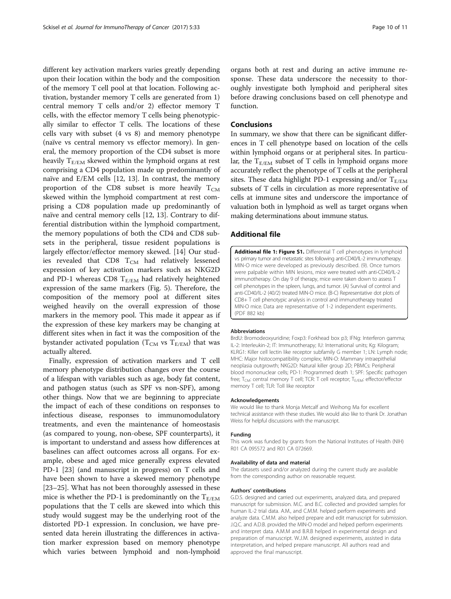<span id="page-9-0"></span>different key activation markers varies greatly depending upon their location within the body and the composition of the memory T cell pool at that location. Following activation, bystander memory T cells are generated from 1) central memory T cells and/or 2) effector memory T cells, with the effector memory T cells being phenotypically similar to effector T cells. The locations of these cells vary with subset (4 vs 8) and memory phenotype (naïve vs central memory vs effector memory). In general, the memory proportion of the CD4 subset is more heavily  $T_{E/EM}$  skewed within the lymphoid organs at rest comprising a CD4 population made up predominantly of naïve and E/EM cells [\[12, 13\]](#page-10-0). In contrast, the memory proportion of the CD8 subset is more heavily  $T_{CM}$ skewed within the lymphoid compartment at rest comprising a CD8 population made up predominantly of naïve and central memory cells [[12, 13\]](#page-10-0). Contrary to differential distribution within the lymphoid compartment, the memory populations of both the CD4 and CD8 subsets in the peripheral, tissue resident populations is largely effector/effector memory skewed. [\[14](#page-10-0)] Our studies revealed that CD8  $T_{CM}$  had relatively lessened expression of key activation markers such as NKG2D and PD-1 whereas CD8  $T_{E/EM}$  had relatively heightened expression of the same markers (Fig. [5\)](#page-6-0). Therefore, the composition of the memory pool at different sites weighed heavily on the overall expression of those markers in the memory pool. This made it appear as if the expression of these key markers may be changing at different sites when in fact it was the composition of the bystander activated population ( $T_{CM}$  vs  $T_{E/EM}$ ) that was actually altered.

Finally, expression of activation markers and T cell memory phenotype distribution changes over the course of a lifespan with variables such as age, body fat content, and pathogen status (such as SPF vs non-SPF), among other things. Now that we are beginning to appreciate the impact of each of these conditions on responses to infectious disease, responses to immunomodulatory treatments, and even the maintenance of homeostasis (as compared to young, non-obese, SPF counterparts), it is important to understand and assess how differences at baselines can affect outcomes across all organs. For example, obese and aged mice generally express elevated PD-1 [\[23](#page-10-0)] (and manuscript in progress) on T cells and have been shown to have a skewed memory phenotype [[23](#page-10-0)–[25](#page-10-0)]. What has not been thoroughly assessed in these mice is whether the PD-1 is predominantly on the  $T_{E/EM}$ populations that the T cells are skewed into which this study would suggest may be the underlying root of the distorted PD-1 expression. In conclusion, we have presented data herein illustrating the differences in activation marker expression based on memory phenotype which varies between lymphoid and non-lymphoid organs both at rest and during an active immune response. These data underscore the necessity to thoroughly investigate both lymphoid and peripheral sites before drawing conclusions based on cell phenotype and function.

# Conclusions

In summary, we show that there can be significant differences in T cell phenotype based on location of the cells within lymphoid organs or at peripheral sites. In particular, the  $T_{E/EM}$  subset of T cells in lymphoid organs more accurately reflect the phenotype of T cells at the peripheral sites. These data highlight PD-1 expressing and/or  $T_{E/EM}$ subsets of T cells in circulation as more representative of cells at immune sites and underscore the importance of valuation both in lymphoid as well as target organs when making determinations about immune status.

#### Additional file

[Additional file 1: Figure S1.](dx.doi.org/10.1186/s40425-017-0235-4) Differential T cell phenotypes in lymphoid vs primary tumor and metastatic sites following anti-CD40/IL-2 immunotherapy. MIN-O mice were developed as previously described. (9). Once tumors were palpable within MIN lesions, mice were treated with anti-CD40/IL-2 immunotherapy. On day 9 of therapy, mice were taken down to assess T cell phenotypes in the spleen, lungs, and tumor. (A) Survival of control and anti-CD40/IL-2 (40/2) treated MIN-O mice. (B-C) Representative dot plots of CD8+ T cell phenotypic analysis in control and immunotherapy treated MIN-O mice. Data are representative of 1-2 independent experiments. (PDF 882 kb)

#### Abbreviations

BrdU: Bromodeoxyuridine; Foxp3: Forkhead box p3; IFNg: Interferon gamma; IL-2: Interleukin-2; IT: Immunotherapy; IU: International units; Kg: Kilogram; KLRG1: Killer cell lectin like receptor subfamily G member 1; LN: Lymph node; MHC: Major histocompatibility complex; MIN-O: Mammary intraepithelial neoplasia outgrowth; NKG2D: Natural killer group 2D; PBMCs: Peripheral blood mononuclear cells; PD-1: Programmed death 1; SPF: Specific pathogen free;  $T_{CM}$ : central memory T cell; TCR: T cell receptor;  $T_{E/EM}$ : effector/effector memory T cell; TLR: Toll like receptor

#### Acknowledgements

We would like to thank Monja Metcalf and Weihong Ma for excellent technical assistance with these studies. We would also like to thank Dr. Jonathan Weiss for helpful discussions with the manuscript.

#### Funding

This work was funded by grants from the National Institutes of Health (NIH) R01 CA 095572 and R01 CA 072669.

#### Availability of data and material

The datasets used and/or analyzed during the current study are available from the corresponding author on reasonable request.

#### Authors' contributions

G.D.S. designed and carried out experiments, analyzed data, and prepared manuscript for submission. M.C. and B.C. collected and provided samples for human IL-2 trial data. A.M., and C.M.M. helped perform experiments and analyze data. C.M.M. also helped prepare and edit manuscript for submission. J.Q.C. and A.D.B. provided the MIN-O model and helped perform experiments and interpret data. A.M.M and B.R.B helped in experimental design and preparation of manuscript. W.J.M. designed experiments, assisted in data interpretation, and helped prepare manuscript. All authors read and approved the final manuscript.